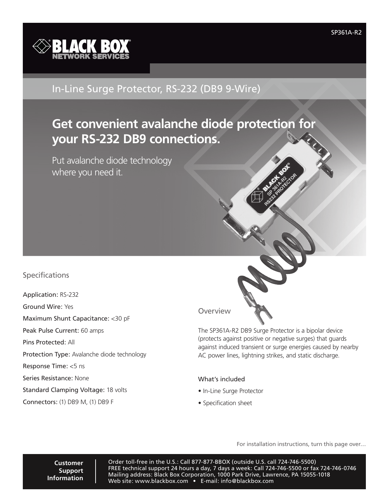

## In-Line Surge Protector, RS-232 (DB9 9-Wire)

# **Get convenient avalanche diode protection for your RS-232 DB9 connections.**

Put avalanche diode technology where you need it.

### Specifications

Application: RS-232 Ground Wire: Yes Maximum Shunt Capacitance: <30 pF Peak Pulse Current: 60 amps Pins Protected: All Protection Type: Avalanche diode technology Response Time: <5 ns Series Resistance: None Standard Clamping Voltage: 18 volts Connectors: (1) DB9 M, (1) DB9 F

**Overview** 

Wire)<br>
SP361A-R2<br>
SP361A-R2<br>
The Context of Spaning Protector is a bipolar device<br>
St positive or negative surges) that guards<br>
St photing strikes, and static discharge.<br>
Led<br>
Pror installation instructions, turn this page The SP361A-R2 DB9 Surge Protector is a bipolar device (protects against positive or negative surges) that guards against induced transient or surge energies caused by nearby AC power lines, lightning strikes, and static discharge.

#### What's included

- In-Line Surge Protector
- Specification sheet

**Customer Support Information**

Order toll-free in the U.S.: Call 877-877-BBOX (outside U.S. call 724-746-5500) FREE technical support 24 hours a day, 7 days a week: Call 724-746-5500 or fax 724-746-0746 Mailing address: Black Box Corporation, 1000 Park Drive, Lawrence, PA 15055-1018 Web site: www.blackbox.com • E-mail: info@blackbox.com